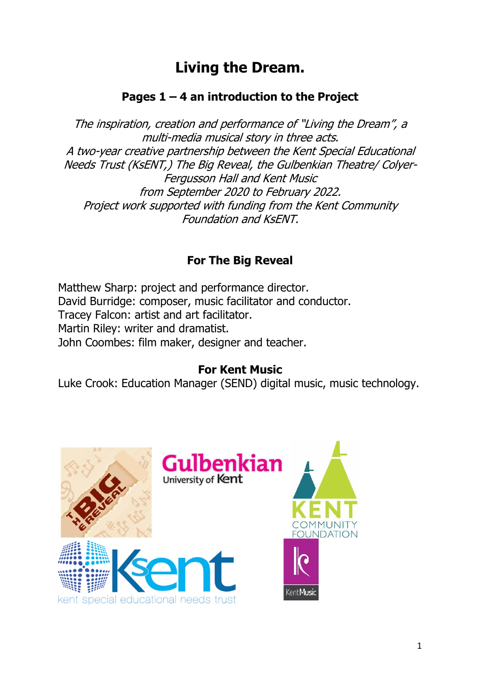# **Living the Dream.**

# **Pages 1 – 4 an introduction to the Project**

The inspiration, creation and performance of "Living the Dream", a multi-media musical story in three acts. A two-year creative partnership between the Kent Special Educational Needs Trust (KsENT,) The Big Reveal, the Gulbenkian Theatre/ Colyer-Fergusson Hall and Kent Music from September 2020 to February 2022. Project work supported with funding from the Kent Community Foundation and KsENT.

# **For The Big Reveal**

Matthew Sharp: project and performance director. David Burridge: composer, music facilitator and conductor. Tracey Falcon: artist and art facilitator. Martin Riley: writer and dramatist. John Coombes: film maker, designer and teacher.

### **For Kent Music**

Luke Crook: Education Manager (SEND) digital music, music technology.

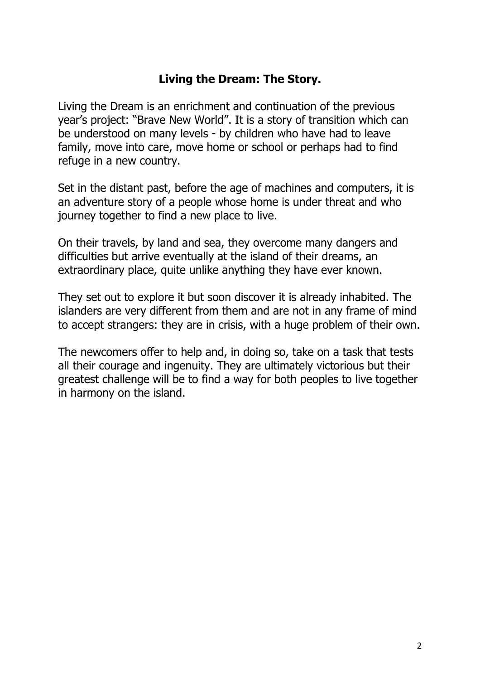### **Living the Dream: The Story.**

Living the Dream is an enrichment and continuation of the previous year's project: "Brave New World". It is a story of transition which can be understood on many levels - by children who have had to leave family, move into care, move home or school or perhaps had to find refuge in a new country.

Set in the distant past, before the age of machines and computers, it is an adventure story of a people whose home is under threat and who journey together to find a new place to live.

On their travels, by land and sea, they overcome many dangers and difficulties but arrive eventually at the island of their dreams, an extraordinary place, quite unlike anything they have ever known.

They set out to explore it but soon discover it is already inhabited. The islanders are very different from them and are not in any frame of mind to accept strangers: they are in crisis, with a huge problem of their own.

The newcomers offer to help and, in doing so, take on a task that tests all their courage and ingenuity. They are ultimately victorious but their greatest challenge will be to find a way for both peoples to live together in harmony on the island.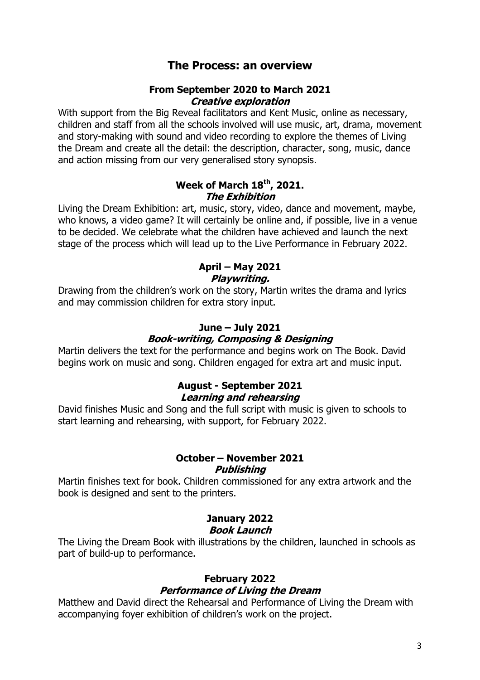### **The Process: an overview**

#### **From September 2020 to March 2021 Creative exploration**

With support from the Big Reveal facilitators and Kent Music, online as necessary, children and staff from all the schools involved will use music, art, drama, movement and story-making with sound and video recording to explore the themes of Living the Dream and create all the detail: the description, character, song, music, dance and action missing from our very generalised story synopsis.

### **Week of March 18th, 2021. The Exhibition**

Living the Dream Exhibition: art, music, story, video, dance and movement, maybe, who knows, a video game? It will certainly be online and, if possible, live in a venue to be decided. We celebrate what the children have achieved and launch the next stage of the process which will lead up to the Live Performance in February 2022.

#### **April – May 2021 Playwriting.**

Drawing from the children's work on the story, Martin writes the drama and lyrics and may commission children for extra story input.

# **June – July 2021**

### **Book-writing, Composing & Designing**

Martin delivers the text for the performance and begins work on The Book. David begins work on music and song. Children engaged for extra art and music input.

### **August - September 2021 Learning and rehearsing**

David finishes Music and Song and the full script with music is given to schools to start learning and rehearsing, with support, for February 2022.

### **October – November 2021 Publishing**

Martin finishes text for book. Children commissioned for any extra artwork and the book is designed and sent to the printers.

### **January 2022 Book Launch**

The Living the Dream Book with illustrations by the children, launched in schools as part of build-up to performance.

### **February 2022 Performance of Living the Dream**

Matthew and David direct the Rehearsal and Performance of Living the Dream with accompanying foyer exhibition of children's work on the project.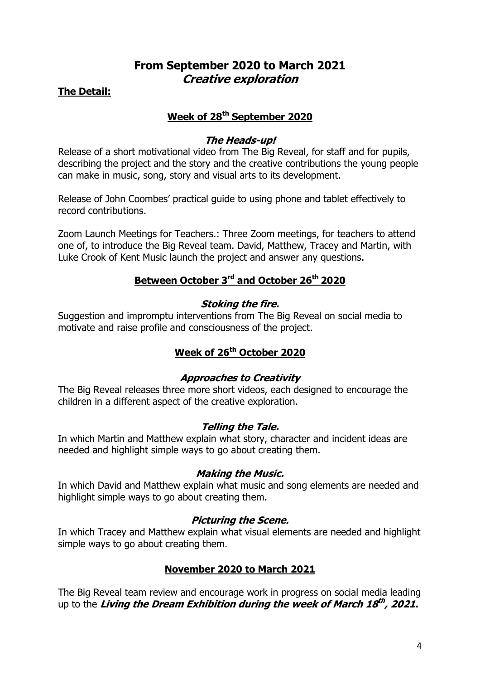### **From September 2020 to March 2021 Creative exploration**

**The Detail:** 

### **Week of 28th September 2020**

### **The Heads-up!**

Release of a short motivational video from The Big Reveal, for staff and for pupils, describing the project and the story and the creative contributions the young people can make in music, song, story and visual arts to its development.

Release of John Coombes' practical guide to using phone and tablet effectively to record contributions.

Zoom Launch Meetings for Teachers.: Three Zoom meetings, for teachers to attend one of, to introduce the Big Reveal team. David, Matthew, Tracey and Martin, with Luke Crook of Kent Music launch the project and answer any questions.

### **Between October 3rd and October 26th 2020**

### **Stoking the fire.**

Suggestion and impromptu interventions from The Big Reveal on social media to motivate and raise profile and consciousness of the project.

### **Week of 26th October 2020**

### **Approaches to Creativity**

The Big Reveal releases three more short videos, each designed to encourage the children in a different aspect of the creative exploration.

### **Telling the Tale.**

In which Martin and Matthew explain what story, character and incident ideas are needed and highlight simple ways to go about creating them.

### **Making the Music.**

In which David and Matthew explain what music and song elements are needed and highlight simple ways to go about creating them.

### **Picturing the Scene.**

In which Tracey and Matthew explain what visual elements are needed and highlight simple ways to go about creating them.

### **November 2020 to March 2021**

The Big Reveal team review and encourage work in progress on social media leading up to the **Living the Dream Exhibition during the week of March 18 th , 2021.**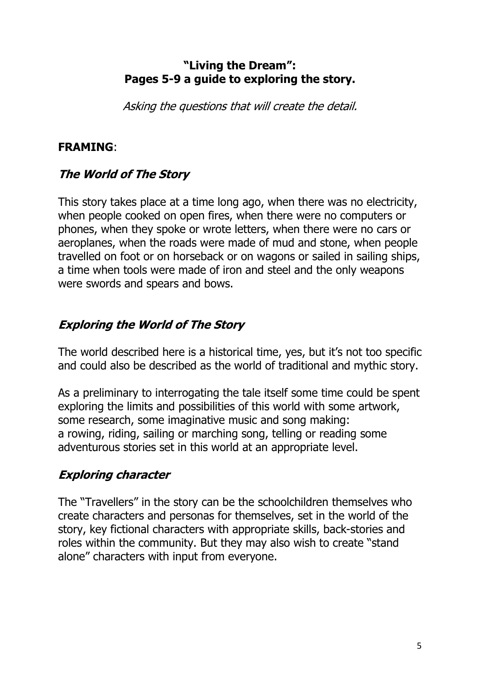### **"Living the Dream": Pages 5-9 a guide to exploring the story.**

Asking the questions that will create the detail.

# **FRAMING**:

# **The World of The Story**

This story takes place at a time long ago, when there was no electricity, when people cooked on open fires, when there were no computers or phones, when they spoke or wrote letters, when there were no cars or aeroplanes, when the roads were made of mud and stone, when people travelled on foot or on horseback or on wagons or sailed in sailing ships, a time when tools were made of iron and steel and the only weapons were swords and spears and bows.

# **Exploring the World of The Story**

The world described here is a historical time, yes, but it's not too specific and could also be described as the world of traditional and mythic story.

As a preliminary to interrogating the tale itself some time could be spent exploring the limits and possibilities of this world with some artwork, some research, some imaginative music and song making: a rowing, riding, sailing or marching song, telling or reading some adventurous stories set in this world at an appropriate level.

# **Exploring character**

The "Travellers" in the story can be the schoolchildren themselves who create characters and personas for themselves, set in the world of the story, key fictional characters with appropriate skills, back-stories and roles within the community. But they may also wish to create "stand alone" characters with input from everyone.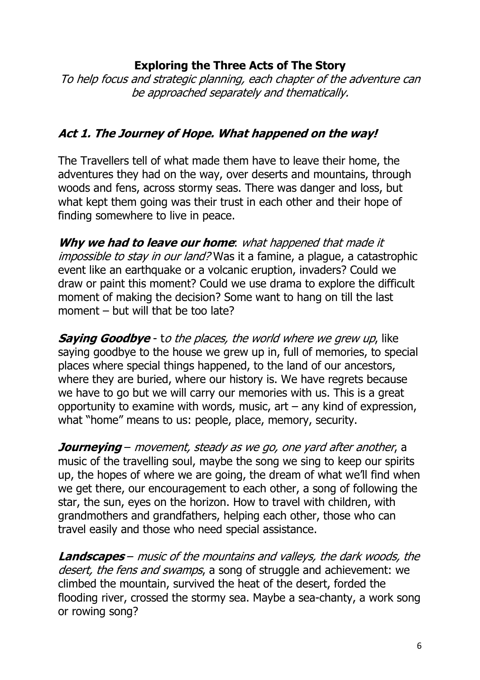### **Exploring the Three Acts of The Story**

To help focus and strategic planning, each chapter of the adventure can be approached separately and thematically.

### **Act 1. The Journey of Hope. What happened on the way!**

The Travellers tell of what made them have to leave their home, the adventures they had on the way, over deserts and mountains, through woods and fens, across stormy seas. There was danger and loss, but what kept them going was their trust in each other and their hope of finding somewhere to live in peace.

**Why we had to leave our home**: what happened that made it impossible to stay in our land? Was it a famine, a plaque, a catastrophic event like an earthquake or a volcanic eruption, invaders? Could we draw or paint this moment? Could we use drama to explore the difficult moment of making the decision? Some want to hang on till the last moment – but will that be too late?

**Saying Goodbye** - to the places, the world where we grew up, like saying goodbye to the house we grew up in, full of memories, to special places where special things happened, to the land of our ancestors, where they are buried, where our history is. We have regrets because we have to go but we will carry our memories with us. This is a great opportunity to examine with words, music, art – any kind of expression, what "home" means to us: people, place, memory, security.

**Journeying** – movement, steady as we go, one yard after another, a music of the travelling soul, maybe the song we sing to keep our spirits up, the hopes of where we are going, the dream of what we'll find when we get there, our encouragement to each other, a song of following the star, the sun, eyes on the horizon. How to travel with children, with grandmothers and grandfathers, helping each other, those who can travel easily and those who need special assistance.

**Landscapes** – music of the mountains and valleys, the dark woods, the desert, the fens and swamps, a song of struggle and achievement; we climbed the mountain, survived the heat of the desert, forded the flooding river, crossed the stormy sea. Maybe a sea-chanty, a work song or rowing song?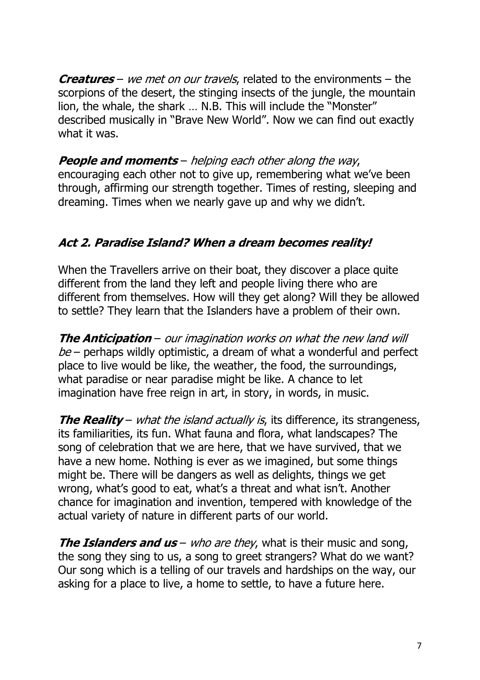**Creatures** – we met on our travels, related to the environments – the scorpions of the desert, the stinging insects of the jungle, the mountain lion, the whale, the shark … N.B. This will include the "Monster" described musically in "Brave New World". Now we can find out exactly what it was.

**People and moments** – helping each other along the way, encouraging each other not to give up, remembering what we've been through, affirming our strength together. Times of resting, sleeping and dreaming. Times when we nearly gave up and why we didn't.

# **Act 2. Paradise Island? When a dream becomes reality!**

When the Travellers arrive on their boat, they discover a place quite different from the land they left and people living there who are different from themselves. How will they get along? Will they be allowed to settle? They learn that the Islanders have a problem of their own.

**The Anticipation** – our imagination works on what the new land will  $be$  – perhaps wildly optimistic, a dream of what a wonderful and perfect place to live would be like, the weather, the food, the surroundings, what paradise or near paradise might be like. A chance to let imagination have free reign in art, in story, in words, in music.

**The Reality** – what the island actually is, its difference, its strangeness, its familiarities, its fun. What fauna and flora, what landscapes? The song of celebration that we are here, that we have survived, that we have a new home. Nothing is ever as we imagined, but some things might be. There will be dangers as well as delights, things we get wrong, what's good to eat, what's a threat and what isn't. Another chance for imagination and invention, tempered with knowledge of the actual variety of nature in different parts of our world.

**The Islanders and us** – who are they, what is their music and song, the song they sing to us, a song to greet strangers? What do we want? Our song which is a telling of our travels and hardships on the way, our asking for a place to live, a home to settle, to have a future here.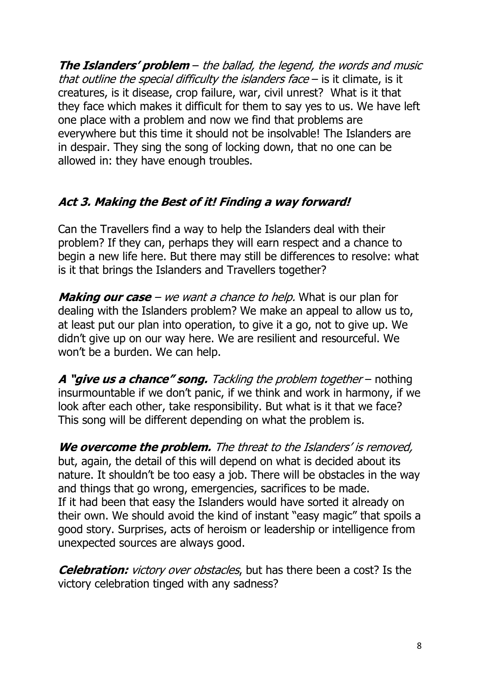**The Islanders' problem** – the ballad, the legend, the words and music that outline the special difficulty the islanders face  $-$  is it climate, is it creatures, is it disease, crop failure, war, civil unrest? What is it that they face which makes it difficult for them to say yes to us. We have left one place with a problem and now we find that problems are everywhere but this time it should not be insolvable! The Islanders are in despair. They sing the song of locking down, that no one can be allowed in: they have enough troubles.

# **Act 3. Making the Best of it! Finding a way forward!**

Can the Travellers find a way to help the Islanders deal with their problem? If they can, perhaps they will earn respect and a chance to begin a new life here. But there may still be differences to resolve: what is it that brings the Islanders and Travellers together?

**Making our case** – we want a chance to help. What is our plan for dealing with the Islanders problem? We make an appeal to allow us to, at least put our plan into operation, to give it a go, not to give up. We didn't give up on our way here. We are resilient and resourceful. We won't be a burden. We can help.

**A "give us a chance" song.** Tackling the problem together – nothing insurmountable if we don't panic, if we think and work in harmony, if we look after each other, take responsibility. But what is it that we face? This song will be different depending on what the problem is.

We overcome the problem. The threat to the Islanders' is removed, but, again, the detail of this will depend on what is decided about its nature. It shouldn't be too easy a job. There will be obstacles in the way and things that go wrong, emergencies, sacrifices to be made. If it had been that easy the Islanders would have sorted it already on their own. We should avoid the kind of instant "easy magic" that spoils a good story. Surprises, acts of heroism or leadership or intelligence from unexpected sources are always good.

**Celebration:** victory over obstacles, but has there been a cost? Is the victory celebration tinged with any sadness?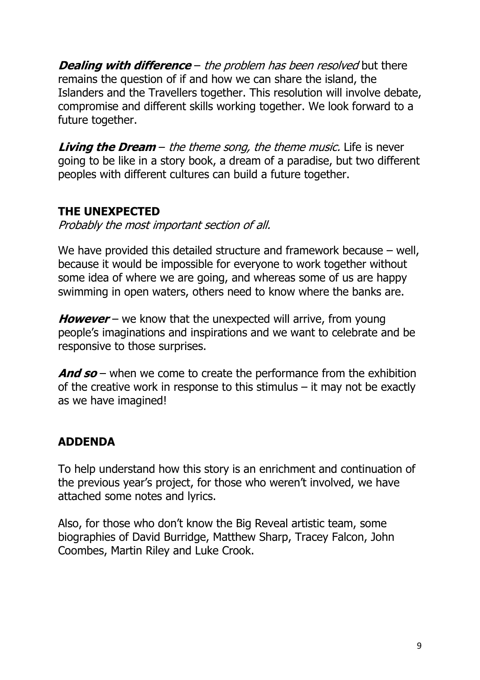**Dealing with difference** – the problem has been resolved but there remains the question of if and how we can share the island, the Islanders and the Travellers together. This resolution will involve debate, compromise and different skills working together. We look forward to a future together.

**Living the Dream** – the theme song, the theme music. Life is never going to be like in a story book, a dream of a paradise, but two different peoples with different cultures can build a future together.

### **THE UNEXPECTED**

Probably the most important section of all.

We have provided this detailed structure and framework because – well, because it would be impossible for everyone to work together without some idea of where we are going, and whereas some of us are happy swimming in open waters, others need to know where the banks are.

**However** – we know that the unexpected will arrive, from young people's imaginations and inspirations and we want to celebrate and be responsive to those surprises.

**And so** – when we come to create the performance from the exhibition of the creative work in response to this stimulus  $-$  it may not be exactly as we have imagined!

# **ADDENDA**

To help understand how this story is an enrichment and continuation of the previous year's project, for those who weren't involved, we have attached some notes and lyrics.

Also, for those who don't know the Big Reveal artistic team, some biographies of David Burridge, Matthew Sharp, Tracey Falcon, John Coombes, Martin Riley and Luke Crook.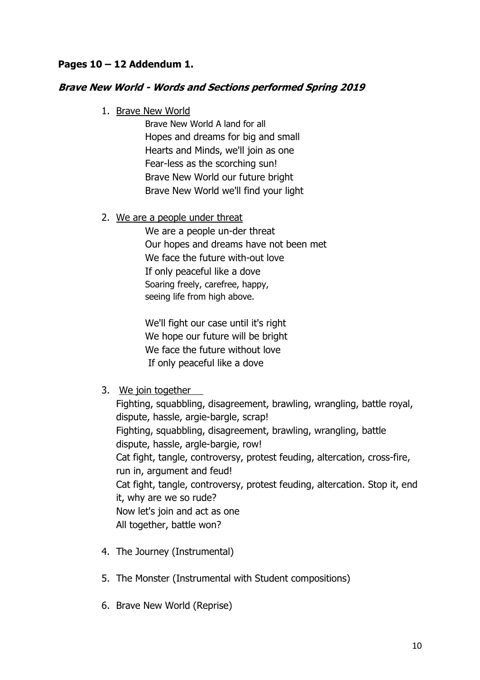### **Pages 10 – 12 Addendum 1.**

### **Brave New World - Words and Sections performed Spring 2019**

1. Brave New World

Brave New World A land for all Hopes and dreams for big and small Hearts and Minds, we'll join as one Fear-less as the scorching sun! Brave New World our future bright Brave New World we'll find your light

#### 2. We are a people under threat

We are a people un-der threat Our hopes and dreams have not been met We face the future with-out love If only peaceful like a dove Soaring freely, carefree, happy, seeing life from high above.

We'll fight our case until it's right We hope our future will be bright We face the future without love If only peaceful like a dove

3. We join together

Fighting, squabbling, disagreement, brawling, wrangling, battle royal, dispute, hassle, argie-bargle, scrap! Fighting, squabbling, disagreement, brawling, wrangling, battle dispute, hassle, argle-bargie, row! Cat fight, tangle, controversy, protest feuding, altercation, cross-fire, run in, argument and feud! Cat fight, tangle, controversy, protest feuding, altercation. Stop it, end it, why are we so rude? Now let's join and act as one All together, battle won?

- 4. The Journey (Instrumental)
- 5. The Monster (Instrumental with Student compositions)
- 6. Brave New World (Reprise)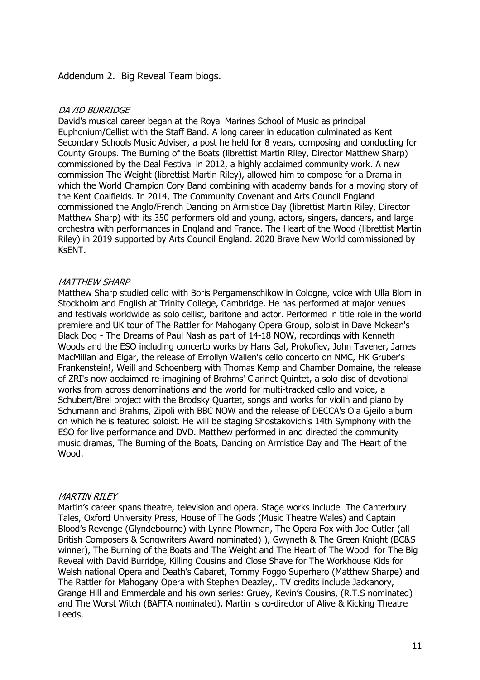#### Addendum 2. Big Reveal Team biogs.

#### DAVID BURRIDGE

David's musical career began at the Royal Marines School of Music as principal Euphonium/Cellist with the Staff Band. A long career in education culminated as Kent Secondary Schools Music Adviser, a post he held for 8 years, composing and conducting for County Groups. The Burning of the Boats (librettist Martin Riley, Director Matthew Sharp) commissioned by the Deal Festival in 2012, a highly acclaimed community work. A new commission The Weight (librettist Martin Riley), allowed him to compose for a Drama in which the World Champion Cory Band combining with academy bands for a moving story of the Kent Coalfields. In 2014, The Community Covenant and Arts Council England commissioned the Anglo/French Dancing on Armistice Day (librettist Martin Riley, Director Matthew Sharp) with its 350 performers old and young, actors, singers, dancers, and large orchestra with performances in England and France. The Heart of the Wood (librettist Martin Riley) in 2019 supported by Arts Council England. 2020 Brave New World commissioned by KsENT.

#### MATTHEW SHARP

Matthew Sharp studied cello with Boris Pergamenschikow in Cologne, voice with Ulla Blom in Stockholm and English at Trinity College, Cambridge. He has performed at major venues and festivals worldwide as solo cellist, baritone and actor. Performed in title role in the world premiere and UK tour of The Rattler for Mahogany Opera Group, soloist in Dave Mckean's Black Dog - The Dreams of Paul Nash as part of 14-18 NOW, recordings with Kenneth Woods and the ESO including concerto works by Hans Gal, Prokofiev, John Tavener, James MacMillan and Elgar, the release of Errollyn Wallen's cello concerto on NMC, HK Gruber's Frankenstein!, Weill and Schoenberg with Thomas Kemp and Chamber Domaine, the release of ZRI's now acclaimed re-imagining of Brahms' Clarinet Quintet, a solo disc of devotional works from across denominations and the world for multi-tracked cello and voice, a Schubert/Brel project with the Brodsky Quartet, songs and works for violin and piano by Schumann and Brahms, Zipoli with BBC NOW and the release of DECCA's Ola Gjeilo album on which he is featured soloist. He will be staging Shostakovich's 14th Symphony with the ESO for live performance and DVD. Matthew performed in and directed the community music dramas, The Burning of the Boats, Dancing on Armistice Day and The Heart of the Wood.

#### MARTIN RILEY

Martin's career spans theatre, television and opera. Stage works include The Canterbury Tales, Oxford University Press, House of The Gods (Music Theatre Wales) and Captain Blood's Revenge (Glyndebourne) with Lynne Plowman, The Opera Fox with Joe Cutler (all British Composers & Songwriters Award nominated) ), Gwyneth & The Green Knight (BC&S winner), The Burning of the Boats and The Weight and The Heart of The Wood for The Big Reveal with David Burridge, Killing Cousins and Close Shave for The Workhouse Kids for Welsh national Opera and Death's Cabaret, Tommy Foggo Superhero (Matthew Sharpe) and The Rattler for Mahogany Opera with Stephen Deazley,. TV credits include Jackanory, Grange Hill and Emmerdale and his own series: Gruey, Kevin's Cousins, (R.T.S nominated) and The Worst Witch (BAFTA nominated). Martin is co-director of Alive & Kicking Theatre Leeds.